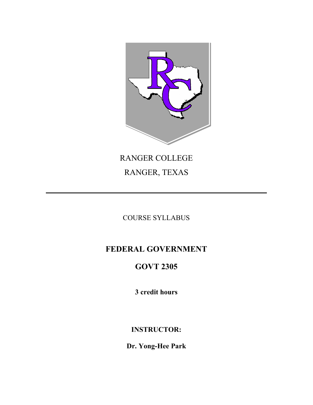

# RANGER COLLEGE RANGER, TEXAS

# COURSE SYLLABUS

# **FEDERAL GOVERNMENT**

# **GOVT 2305**

**3 credit hours**

**INSTRUCTOR:**

**Dr. Yong-Hee Park**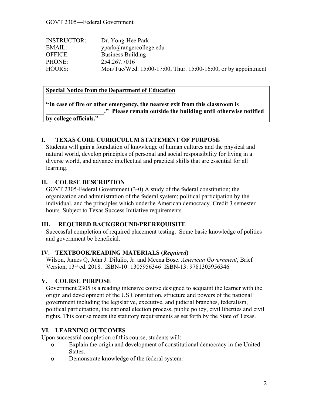| <b>INSTRUCTOR:</b> | Dr. Yong-Hee Park                                              |
|--------------------|----------------------------------------------------------------|
| EMAIL:             | vpark@rangereollege.edu                                        |
| OFFICE:            | <b>Business Building</b>                                       |
| PHONE:             | 254.267.7016                                                   |
| HOURS:             | Mon/Tue/Wed. 15:00-17:00, Thur. 15:00-16:00, or by appointment |

#### **Special Notice from the Department of Education**

|                        | "In case of fire or other emergency, the nearest exit from this classroom is |
|------------------------|------------------------------------------------------------------------------|
|                        | ." Please remain outside the building until otherwise notified               |
| by college officials." |                                                                              |

#### **I. TEXAS CORE CURRICULUM STATEMENT OF PURPOSE**

Students will gain a foundation of knowledge of human cultures and the physical and natural world, develop principles of personal and social responsibility for living in a diverse world, and advance intellectual and practical skills that are essential for all learning.

#### **II. COURSE DESCRIPTION**

GOVT 2305-Federal Government (3-0) A study of the federal constitution; the organization and administration of the federal system; political participation by the individual, and the principles which underlie American democracy. Credit 3 semester hours. Subject to Texas Success Initiative requirements.

#### **III. REQUIRED BACKGROUND/PREREQUISITE**

Successful completion of required placement testing. Some basic knowledge of politics and government be beneficial.

#### **IV. TEXTBOOK/READING MATERIALS (***Required***)**

Wilson, James Q, John J. Dilulio, Jr. and Meena Bose. *American Government*, Brief Version, 13th ed. 2018. ISBN-10: 1305956346 ISBN-13: 9781305956346

#### **V. COURSE PURPOSE**

Government 2305 is a reading intensive course designed to acquaint the learner with the origin and development of the US Constitution, structure and powers of the national government including the legislative, executive, and judicial branches, federalism, political participation, the national election process, public policy, civil liberties and civil rights. This course meets the statutory requirements as set forth by the State of Texas.

#### **VI. LEARNING OUTCOMES**

Upon successful completion of this course, students will:

- **o** Explain the origin and development of constitutional democracy in the United States.
- **o** Demonstrate knowledge of the federal system.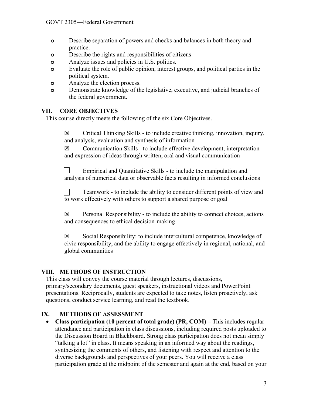- **o** Describe separation of powers and checks and balances in both theory and practice.
- **o** Describe the rights and responsibilities of citizens
- **o** Analyze issues and policies in U.S. politics.
- **o** Evaluate the role of public opinion, interest groups, and political parties in the political system.
- **o** Analyze the election process.
- **o** Demonstrate knowledge of the legislative, executive, and judicial branches of the federal government.

### **VII. CORE OBJECTIVES**

This course directly meets the following of the six Core Objectives.

 $\boxtimes$  Critical Thinking Skills - to include creative thinking, innovation, inquiry, and analysis, evaluation and synthesis of information

 $\boxtimes$  Communication Skills - to include effective development, interpretation and expression of ideas through written, oral and visual communication

Empirical and Quantitative Skills - to include the manipulation and analysis of numerical data or observable facts resulting in informed conclusions

Teamwork - to include the ability to consider different points of view and to work effectively with others to support a shared purpose or goal

 $\boxtimes$  Personal Responsibility - to include the ability to connect choices, actions and consequences to ethical decision-making

☒ Social Responsibility: to include intercultural competence, knowledge of civic responsibility, and the ability to engage effectively in regional, national, and global communities

# **VIII. METHODS OF INSTRUCTION**

This class will convey the course material through lectures, discussions, primary/secondary documents, guest speakers, instructional videos and PowerPoint presentations. Reciprocally, students are expected to take notes, listen proactively, ask questions, conduct service learning, and read the textbook.

# **IX. METHODS OF ASSESSMENT**

 **Class participation (10 percent of total grade) (PR, COM) –** This includes regular attendance and participation in class discussions, including required posts uploaded to the Discussion Board in Blackboard. Strong class participation does not mean simply "talking a lot" in class. It means speaking in an informed way about the readings, synthesizing the comments of others, and listening with respect and attention to the diverse backgrounds and perspectives of your peers. You will receive a class participation grade at the midpoint of the semester and again at the end, based on your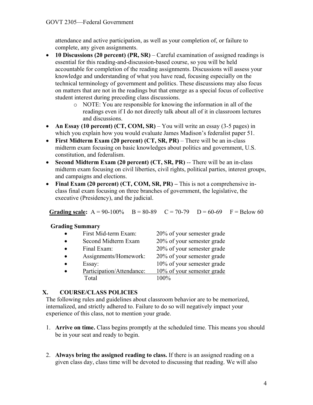attendance and active participation, as well as your completion of, or failure to complete, any given assignments.

- **10 Discussions (20 percent) (PR, SR)**  Careful examination of assigned readings is essential for this reading-and-discussion-based course, so you will be held accountable for completion of the reading assignments. Discussions will assess your knowledge and understanding of what you have read, focusing especially on the technical terminology of government and politics. These discussions may also focus on matters that are not in the readings but that emerge as a special focus of collective student interest during preceding class discussions.
	- o NOTE: You are responsible for knowing the information in all of the readings even if I do not directly talk about all of it in classroom lectures and discussions.
- An Essay (10 percent) **(CT, COM, SR)** You will write an essay (3-5 pages) in which you explain how you would evaluate James Madison's federalist paper 51.
- **First Midterm Exam (20 percent) (CT, SR, PR)**  There will be an in-class midterm exam focusing on basic knowledges about politics and government, U.S. constitution, and federalism.
- **Second Midterm Exam (20 percent) (CT, SR, PR)** -- There will be an in-class midterm exam focusing on civil liberties, civil rights, political parties, interest groups, and campaigns and elections.
- **Final Exam (20 percent) (CT, COM, SR, PR) –** This is not a comprehensive inclass final exam focusing on three branches of government, the legislative, the executive (Presidency), and the judicial.

**Grading scale:**  $A = 90-100\%$   $B = 80-89$   $C = 70-79$   $D = 60-69$   $F = Below 60$ 

#### **Grading Summary**

| First Mid-term Exam:      | 20% of your semester grade |
|---------------------------|----------------------------|
| Second Midterm Exam       | 20% of your semester grade |
| Final Exam:               | 20% of your semester grade |
| Assignments/Homework:     | 20% of your semester grade |
| Essay:                    | 10% of your semester grade |
| Participation/Attendance: | 10% of your semester grade |
| Total                     | $100\%$                    |
|                           |                            |

# **X. COURSE/CLASS POLICIES**

The following rules and guidelines about classroom behavior are to be memorized, internalized, and strictly adhered to. Failure to do so will negatively impact your experience of this class, not to mention your grade.

- 1. **Arrive on time.** Class begins promptly at the scheduled time. This means you should be in your seat and ready to begin.
- 2. **Always bring the assigned reading to class.** If there is an assigned reading on a given class day, class time will be devoted to discussing that reading. We will also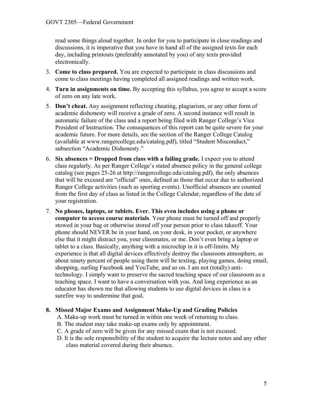read some things aloud together. In order for you to participate in close readings and discussions, it is imperative that you have in hand all of the assigned texts for each day, including printouts (preferably annotated by you) of any texts provided electronically.

- 3. **Come to class prepared.** You are expected to participate in class discussions and come to class meetings having completed all assigned readings and written work.
- 4. **Turn in assignments on time.** By accepting this syllabus, you agree to accept a score of zero on any late work.
- 5. **Don't cheat.** Any assignment reflecting cheating, plagiarism, or any other form of academic dishonesty will receive a grade of zero. A second instance will result in automatic failure of the class and a report being filed with Ranger College's Vice President of Instruction. The consequences of this report can be quite severe for your academic future. For more details, see the section of the Ranger College Catalog (available at www.rangercollege.edu/catalog.pdf), titled "Student Misconduct," subsection "Academic Dishonesty."
- 6. **Six absences = Dropped from class with a failing grade.** I expect you to attend class regularly. As per Ranger College's stated absence policy in the general college catalog (see pages 25-26 at http://rangercollege.edu/catalog.pdf), the only absences that will be excused are "official" ones, defined as those that occur due to authorized Ranger College activities (such as sporting events). Unofficial absences are counted from the first day of class as listed in the College Calendar, regardless of the date of your registration.
- 7. **No phones, laptops, or tablets. Ever. This even includes using a phone or computer to access course materials**. Your phone must be turned off and properly stowed in your bag or otherwise stored off your person prior to class takeoff. Your phone should NEVER be in your hand, on your desk, in your pocket, or anywhere else that it might distract you, your classmates, or me. Don't even bring a laptop or tablet to a class. Basically, anything with a microchip in it is off-limits. My experience is that all digital devices effectively destroy the classroom atmosphere, as about ninety percent of people using them will be texting, playing games, doing email, shopping, surfing Facebook and YouTube, and so on. I am not (totally) antitechnology. I simply want to preserve the sacred teaching space of our classroom as a teaching space. I want to have a conversation with you. And long experience as an educator has shown me that allowing students to use digital devices in class is a surefire way to undermine that goal.

#### **8. Missed Major Exams and Assignment Make-Up and Grading Policies**

- A. Make-up work must be turned in within one week of returning to class.
- B. The student may take make-up exams only by appointment.
- C. A grade of zero will be given for any missed exam that is not excused.
- D. It is the sole responsibility of the student to acquire the lecture notes and any other class material covered during their absence.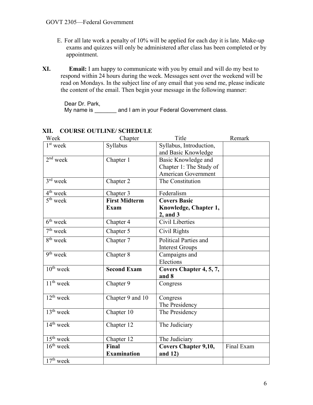- E. For all late work a penalty of 10% will be applied for each day it is late. Make-up exams and quizzes will only be administered after class has been completed or by appointment.
- **XI. Email:** I am happy to communicate with you by email and will do my best to respond within 24 hours during the week. Messages sent over the weekend will be read on Mondays. In the subject line of any email that you send me, please indicate the content of the email. Then begin your message in the following manner:

Dear Dr. Park, My name is \_\_\_\_\_\_\_ and I am in your Federal Government class.

| Week                               | Chapter              | Title                        | Remark     |
|------------------------------------|----------------------|------------------------------|------------|
| $1st$ week                         | Syllabus             | Syllabus, Introduction,      |            |
|                                    |                      | and Basic Knowledge          |            |
| $2nd$ week                         | Chapter 1            | Basic Knowledge and          |            |
|                                    |                      | Chapter 1: The Study of      |            |
|                                    |                      | American Government          |            |
| $3rd$ week                         | Chapter 2            | The Constitution             |            |
| $4th$ week                         | Chapter 3            | Federalism                   |            |
| $5th$ week                         | <b>First Midterm</b> | <b>Covers Basic</b>          |            |
|                                    | <b>Exam</b>          | Knowledge, Chapter 1,        |            |
|                                    |                      | 2, and 3                     |            |
| $6th$ week                         | Chapter 4            | Civil Liberties              |            |
| $7th$ week                         | Chapter 5            | Civil Rights                 |            |
| 8 <sup>th</sup> week               | Chapter 7            | <b>Political Parties and</b> |            |
|                                    |                      | <b>Interest Groups</b>       |            |
| $9th$ week                         | Chapter 8            | Campaigns and                |            |
|                                    |                      | Elections                    |            |
| $10^{th}$ week                     | <b>Second Exam</b>   | Covers Chapter 4, 5, 7,      |            |
|                                    |                      | and 8                        |            |
| $\overline{11}$ <sup>th</sup> week | Chapter 9            | Congress                     |            |
|                                    |                      |                              |            |
| $12^{th}$ week                     | Chapter 9 and 10     | Congress                     |            |
|                                    |                      | The Presidency               |            |
| $13th$ week                        | Chapter 10           | The Presidency               |            |
| $14th$ week                        | Chapter 12           | The Judiciary                |            |
|                                    |                      |                              |            |
| $15th$ week                        | Chapter 12           | The Judiciary                |            |
| $16th$ week                        | <b>Final</b>         | <b>Covers Chapter 9,10,</b>  | Final Exam |
|                                    | <b>Examination</b>   | and 12)                      |            |
| $17th$ week                        |                      |                              |            |

# **XII. COURSE OUTLINE/ SCHEDULE**